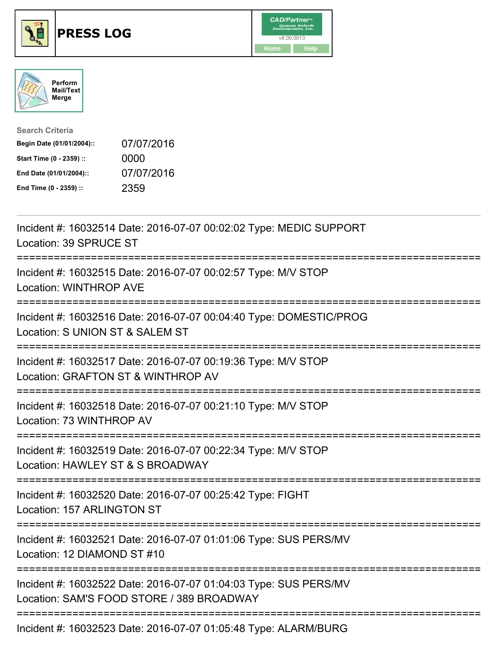





| <b>Search Criteria</b>    |            |
|---------------------------|------------|
| Begin Date (01/01/2004):: | 07/07/2016 |
| Start Time (0 - 2359) ::  | 0000       |
| End Date (01/01/2004)::   | 07/07/2016 |
| End Time (0 - 2359) ::    | 2359       |

| Incident #: 16032514 Date: 2016-07-07 00:02:02 Type: MEDIC SUPPORT<br>Location: 39 SPRUCE ST                                                      |
|---------------------------------------------------------------------------------------------------------------------------------------------------|
| Incident #: 16032515 Date: 2016-07-07 00:02:57 Type: M/V STOP<br><b>Location: WINTHROP AVE</b>                                                    |
| Incident #: 16032516 Date: 2016-07-07 00:04:40 Type: DOMESTIC/PROG<br>Location: S UNION ST & SALEM ST<br>=========                                |
| Incident #: 16032517 Date: 2016-07-07 00:19:36 Type: M/V STOP<br>Location: GRAFTON ST & WINTHROP AV                                               |
| Incident #: 16032518 Date: 2016-07-07 00:21:10 Type: M/V STOP<br>Location: 73 WINTHROP AV<br>===============                                      |
| Incident #: 16032519 Date: 2016-07-07 00:22:34 Type: M/V STOP<br>Location: HAWLEY ST & S BROADWAY<br>============================<br>============ |
| Incident #: 16032520 Date: 2016-07-07 00:25:42 Type: FIGHT<br>Location: 157 ARLINGTON ST                                                          |
| Incident #: 16032521 Date: 2016-07-07 01:01:06 Type: SUS PERS/MV<br>Location: 12 DIAMOND ST #10                                                   |
| Incident #: 16032522 Date: 2016-07-07 01:04:03 Type: SUS PERS/MV<br>Location: SAM'S FOOD STORE / 389 BROADWAY                                     |
| Incident #: 16032523 Date: 2016-07-07 01:05:48 Type: ALARM/BURG                                                                                   |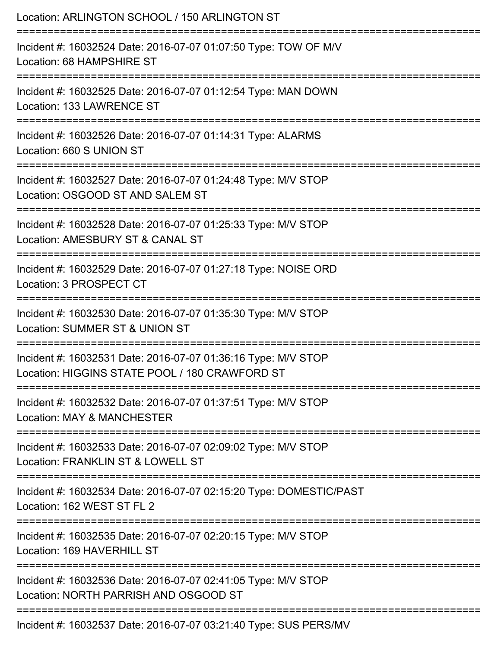| Location: ARLINGTON SCHOOL / 150 ARLINGTON ST                                                                                                 |
|-----------------------------------------------------------------------------------------------------------------------------------------------|
| Incident #: 16032524 Date: 2016-07-07 01:07:50 Type: TOW OF M/V<br>Location: 68 HAMPSHIRE ST                                                  |
| Incident #: 16032525 Date: 2016-07-07 01:12:54 Type: MAN DOWN<br>Location: 133 LAWRENCE ST                                                    |
| Incident #: 16032526 Date: 2016-07-07 01:14:31 Type: ALARMS<br>Location: 660 S UNION ST                                                       |
| Incident #: 16032527 Date: 2016-07-07 01:24:48 Type: M/V STOP<br>Location: OSGOOD ST AND SALEM ST                                             |
| Incident #: 16032528 Date: 2016-07-07 01:25:33 Type: M/V STOP<br>Location: AMESBURY ST & CANAL ST                                             |
| :=====================<br>Incident #: 16032529 Date: 2016-07-07 01:27:18 Type: NOISE ORD<br>Location: 3 PROSPECT CT<br>---------------------- |
| Incident #: 16032530 Date: 2016-07-07 01:35:30 Type: M/V STOP<br>Location: SUMMER ST & UNION ST                                               |
| Incident #: 16032531 Date: 2016-07-07 01:36:16 Type: M/V STOP<br>Location: HIGGINS STATE POOL / 180 CRAWFORD ST                               |
| Incident #: 16032532 Date: 2016-07-07 01:37:51 Type: M/V STOP<br>Location: MAY & MANCHESTER                                                   |
| Incident #: 16032533 Date: 2016-07-07 02:09:02 Type: M/V STOP<br>Location: FRANKLIN ST & LOWELL ST                                            |
| Incident #: 16032534 Date: 2016-07-07 02:15:20 Type: DOMESTIC/PAST<br>Location: 162 WEST ST FL 2                                              |
| Incident #: 16032535 Date: 2016-07-07 02:20:15 Type: M/V STOP<br>Location: 169 HAVERHILL ST                                                   |
| Incident #: 16032536 Date: 2016-07-07 02:41:05 Type: M/V STOP<br>Location: NORTH PARRISH AND OSGOOD ST                                        |
| Incident #: 16032537 Date: 2016-07-07 03:21:40 Type: SUS PERS/MV                                                                              |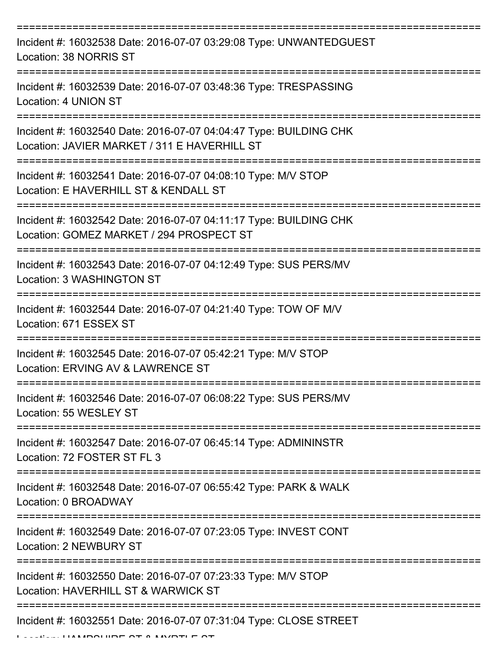| Incident #: 16032538 Date: 2016-07-07 03:29:08 Type: UNWANTEDGUEST<br>Location: 38 NORRIS ST                      |
|-------------------------------------------------------------------------------------------------------------------|
| Incident #: 16032539 Date: 2016-07-07 03:48:36 Type: TRESPASSING<br>Location: 4 UNION ST                          |
| Incident #: 16032540 Date: 2016-07-07 04:04:47 Type: BUILDING CHK<br>Location: JAVIER MARKET / 311 E HAVERHILL ST |
| Incident #: 16032541 Date: 2016-07-07 04:08:10 Type: M/V STOP<br>Location: E HAVERHILL ST & KENDALL ST            |
| Incident #: 16032542 Date: 2016-07-07 04:11:17 Type: BUILDING CHK<br>Location: GOMEZ MARKET / 294 PROSPECT ST     |
| Incident #: 16032543 Date: 2016-07-07 04:12:49 Type: SUS PERS/MV<br>Location: 3 WASHINGTON ST                     |
| Incident #: 16032544 Date: 2016-07-07 04:21:40 Type: TOW OF M/V<br>Location: 671 ESSEX ST                         |
| Incident #: 16032545 Date: 2016-07-07 05:42:21 Type: M/V STOP<br>Location: ERVING AV & LAWRENCE ST                |
| Incident #: 16032546 Date: 2016-07-07 06:08:22 Type: SUS PERS/MV<br>Location: 55 WESLEY ST                        |
| Incident #: 16032547 Date: 2016-07-07 06:45:14 Type: ADMININSTR<br>Location: 72 FOSTER ST FL 3                    |
| Incident #: 16032548 Date: 2016-07-07 06:55:42 Type: PARK & WALK<br>Location: 0 BROADWAY                          |
| Incident #: 16032549 Date: 2016-07-07 07:23:05 Type: INVEST CONT<br>Location: 2 NEWBURY ST                        |
| Incident #: 16032550 Date: 2016-07-07 07:23:33 Type: M/V STOP<br>Location: HAVERHILL ST & WARWICK ST              |
| Incident #: 16032551 Date: 2016-07-07 07:31:04 Type: CLOSE STREET                                                 |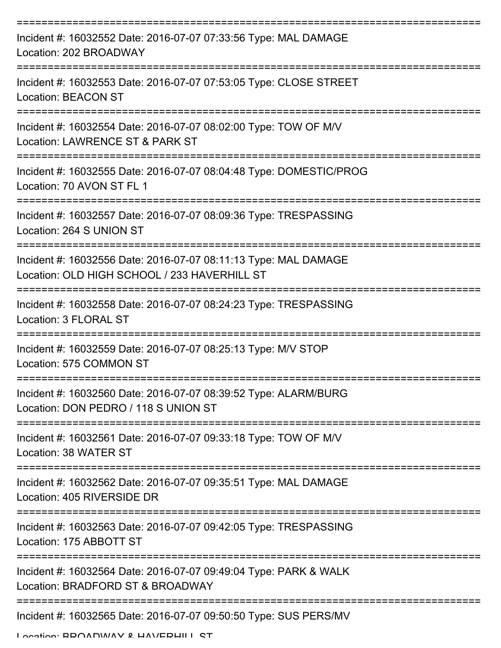| Incident #: 16032552 Date: 2016-07-07 07:33:56 Type: MAL DAMAGE<br>Location: 202 BROADWAY                       |
|-----------------------------------------------------------------------------------------------------------------|
| Incident #: 16032553 Date: 2016-07-07 07:53:05 Type: CLOSE STREET<br><b>Location: BEACON ST</b>                 |
| Incident #: 16032554 Date: 2016-07-07 08:02:00 Type: TOW OF M/V<br>Location: LAWRENCE ST & PARK ST              |
| Incident #: 16032555 Date: 2016-07-07 08:04:48 Type: DOMESTIC/PROG<br>Location: 70 AVON ST FL 1                 |
| Incident #: 16032557 Date: 2016-07-07 08:09:36 Type: TRESPASSING<br>Location: 264 S UNION ST                    |
| Incident #: 16032556 Date: 2016-07-07 08:11:13 Type: MAL DAMAGE<br>Location: OLD HIGH SCHOOL / 233 HAVERHILL ST |
| Incident #: 16032558 Date: 2016-07-07 08:24:23 Type: TRESPASSING<br>Location: 3 FLORAL ST                       |
| Incident #: 16032559 Date: 2016-07-07 08:25:13 Type: M/V STOP<br>Location: 575 COMMON ST                        |
| Incident #: 16032560 Date: 2016-07-07 08:39:52 Type: ALARM/BURG<br>Location: DON PEDRO / 118 S UNION ST         |
| Incident #: 16032561 Date: 2016-07-07 09:33:18 Type: TOW OF M/V<br>Location: 38 WATER ST                        |
| Incident #: 16032562 Date: 2016-07-07 09:35:51 Type: MAL DAMAGE<br>Location: 405 RIVERSIDE DR                   |
| Incident #: 16032563 Date: 2016-07-07 09:42:05 Type: TRESPASSING<br>Location: 175 ABBOTT ST                     |
| Incident #: 16032564 Date: 2016-07-07 09:49:04 Type: PARK & WALK<br>Location: BRADFORD ST & BROADWAY            |
| -----------------------------------<br>Incident #: 16032565 Date: 2016-07-07 09:50:50 Type: SUS PERS/MV         |

Location: BDOADWAV & HAVEDHILL ST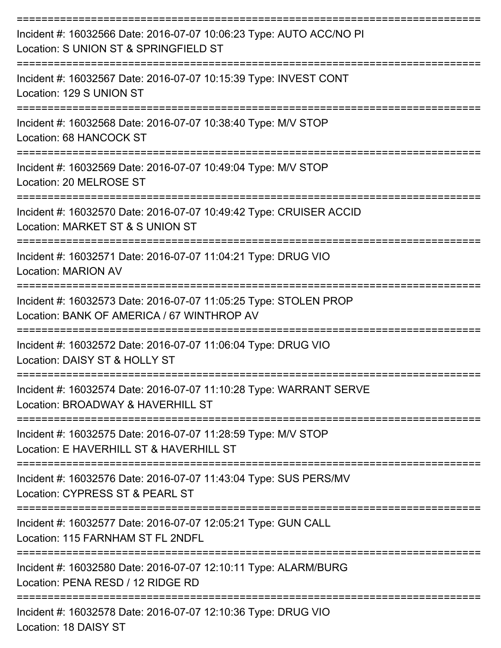| Incident #: 16032566 Date: 2016-07-07 10:06:23 Type: AUTO ACC/NO PI<br>Location: S UNION ST & SPRINGFIELD ST   |
|----------------------------------------------------------------------------------------------------------------|
| Incident #: 16032567 Date: 2016-07-07 10:15:39 Type: INVEST CONT<br>Location: 129 S UNION ST                   |
| Incident #: 16032568 Date: 2016-07-07 10:38:40 Type: M/V STOP<br>Location: 68 HANCOCK ST                       |
| Incident #: 16032569 Date: 2016-07-07 10:49:04 Type: M/V STOP<br>Location: 20 MELROSE ST                       |
| Incident #: 16032570 Date: 2016-07-07 10:49:42 Type: CRUISER ACCID<br>Location: MARKET ST & S UNION ST         |
| Incident #: 16032571 Date: 2016-07-07 11:04:21 Type: DRUG VIO<br><b>Location: MARION AV</b>                    |
| Incident #: 16032573 Date: 2016-07-07 11:05:25 Type: STOLEN PROP<br>Location: BANK OF AMERICA / 67 WINTHROP AV |
| Incident #: 16032572 Date: 2016-07-07 11:06:04 Type: DRUG VIO<br>Location: DAISY ST & HOLLY ST                 |
| Incident #: 16032574 Date: 2016-07-07 11:10:28 Type: WARRANT SERVE<br>Location: BROADWAY & HAVERHILL ST        |
| Incident #: 16032575 Date: 2016-07-07 11:28:59 Type: M/V STOP<br>Location: E HAVERHILL ST & HAVERHILL ST       |
| Incident #: 16032576 Date: 2016-07-07 11:43:04 Type: SUS PERS/MV<br>Location: CYPRESS ST & PEARL ST            |
| Incident #: 16032577 Date: 2016-07-07 12:05:21 Type: GUN CALL<br>Location: 115 FARNHAM ST FL 2NDFL             |
| Incident #: 16032580 Date: 2016-07-07 12:10:11 Type: ALARM/BURG<br>Location: PENA RESD / 12 RIDGE RD           |
| Incident #: 16032578 Date: 2016-07-07 12:10:36 Type: DRUG VIO                                                  |

Location: 18 DAISY ST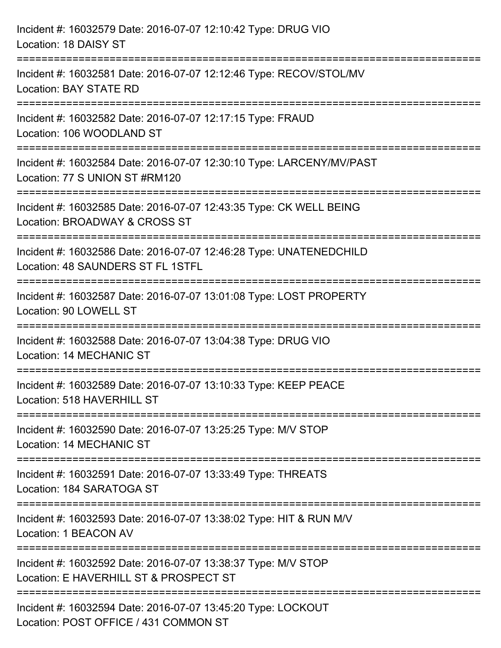| Incident #: 16032579 Date: 2016-07-07 12:10:42 Type: DRUG VIO<br>Location: 18 DAISY ST                                                                              |
|---------------------------------------------------------------------------------------------------------------------------------------------------------------------|
| Incident #: 16032581 Date: 2016-07-07 12:12:46 Type: RECOV/STOL/MV<br><b>Location: BAY STATE RD</b>                                                                 |
| Incident #: 16032582 Date: 2016-07-07 12:17:15 Type: FRAUD<br>Location: 106 WOODLAND ST                                                                             |
| Incident #: 16032584 Date: 2016-07-07 12:30:10 Type: LARCENY/MV/PAST<br>Location: 77 S UNION ST #RM120<br>==================================<br>:================== |
| Incident #: 16032585 Date: 2016-07-07 12:43:35 Type: CK WELL BEING<br>Location: BROADWAY & CROSS ST                                                                 |
| Incident #: 16032586 Date: 2016-07-07 12:46:28 Type: UNATENEDCHILD<br>Location: 48 SAUNDERS ST FL 1STFL                                                             |
| Incident #: 16032587 Date: 2016-07-07 13:01:08 Type: LOST PROPERTY<br>Location: 90 LOWELL ST                                                                        |
| Incident #: 16032588 Date: 2016-07-07 13:04:38 Type: DRUG VIO<br>Location: 14 MECHANIC ST                                                                           |
| Incident #: 16032589 Date: 2016-07-07 13:10:33 Type: KEEP PEACE<br>Location: 518 HAVERHILL ST                                                                       |
| Incident #: 16032590 Date: 2016-07-07 13:25:25 Type: M/V STOP<br>Location: 14 MECHANIC ST                                                                           |
| Incident #: 16032591 Date: 2016-07-07 13:33:49 Type: THREATS<br>Location: 184 SARATOGA ST                                                                           |
| =================================<br>Incident #: 16032593 Date: 2016-07-07 13:38:02 Type: HIT & RUN M/V<br>Location: 1 BEACON AV                                    |
| Incident #: 16032592 Date: 2016-07-07 13:38:37 Type: M/V STOP<br>Location: E HAVERHILL ST & PROSPECT ST                                                             |
| Incident #: 16032594 Date: 2016-07-07 13:45:20 Type: LOCKOUT<br>Location: POST OFFICE / 431 COMMON ST                                                               |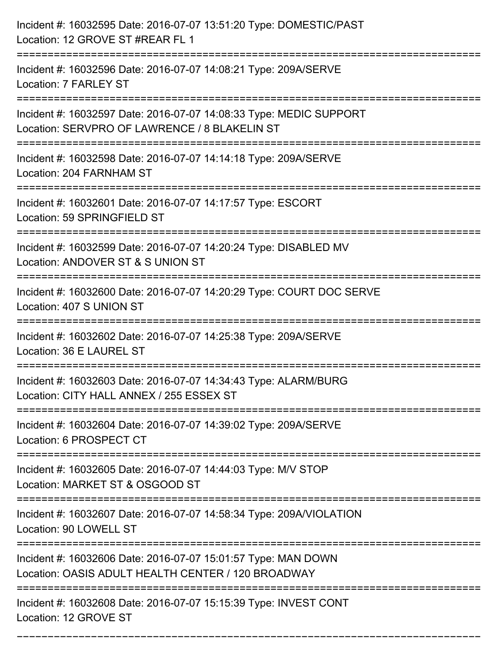| Incident #: 16032595 Date: 2016-07-07 13:51:20 Type: DOMESTIC/PAST<br>Location: 12 GROVE ST #REAR FL 1              |
|---------------------------------------------------------------------------------------------------------------------|
| Incident #: 16032596 Date: 2016-07-07 14:08:21 Type: 209A/SERVE<br>Location: 7 FARLEY ST                            |
| Incident #: 16032597 Date: 2016-07-07 14:08:33 Type: MEDIC SUPPORT<br>Location: SERVPRO OF LAWRENCE / 8 BLAKELIN ST |
| Incident #: 16032598 Date: 2016-07-07 14:14:18 Type: 209A/SERVE<br>Location: 204 FARNHAM ST                         |
| Incident #: 16032601 Date: 2016-07-07 14:17:57 Type: ESCORT<br>Location: 59 SPRINGFIELD ST                          |
| Incident #: 16032599 Date: 2016-07-07 14:20:24 Type: DISABLED MV<br>Location: ANDOVER ST & S UNION ST               |
| Incident #: 16032600 Date: 2016-07-07 14:20:29 Type: COURT DOC SERVE<br>Location: 407 S UNION ST                    |
| Incident #: 16032602 Date: 2016-07-07 14:25:38 Type: 209A/SERVE<br>Location: 36 E LAUREL ST                         |
| Incident #: 16032603 Date: 2016-07-07 14:34:43 Type: ALARM/BURG<br>Location: CITY HALL ANNEX / 255 ESSEX ST         |
| Incident #: 16032604 Date: 2016-07-07 14:39:02 Type: 209A/SERVE<br>Location: 6 PROSPECT CT                          |
| Incident #: 16032605 Date: 2016-07-07 14:44:03 Type: M/V STOP<br>Location: MARKET ST & OSGOOD ST                    |
| Incident #: 16032607 Date: 2016-07-07 14:58:34 Type: 209A/VIOLATION<br>Location: 90 LOWELL ST                       |
| Incident #: 16032606 Date: 2016-07-07 15:01:57 Type: MAN DOWN<br>Location: OASIS ADULT HEALTH CENTER / 120 BROADWAY |
| Incident #: 16032608 Date: 2016-07-07 15:15:39 Type: INVEST CONT<br>Location: 12 GROVE ST                           |

===========================================================================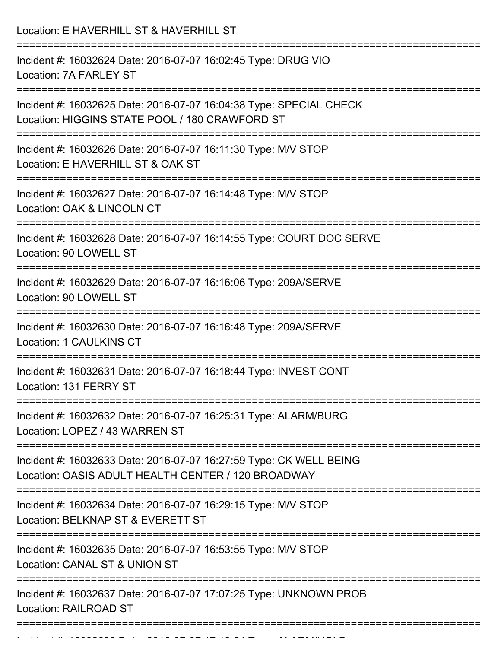| Location: E HAVERHILL ST & HAVERHILL ST                                                                                                                |
|--------------------------------------------------------------------------------------------------------------------------------------------------------|
| Incident #: 16032624 Date: 2016-07-07 16:02:45 Type: DRUG VIO<br>Location: 7A FARLEY ST                                                                |
| Incident #: 16032625 Date: 2016-07-07 16:04:38 Type: SPECIAL CHECK<br>Location: HIGGINS STATE POOL / 180 CRAWFORD ST<br>============================== |
| Incident #: 16032626 Date: 2016-07-07 16:11:30 Type: M/V STOP<br>Location: E HAVERHILL ST & OAK ST                                                     |
| Incident #: 16032627 Date: 2016-07-07 16:14:48 Type: M/V STOP<br>Location: OAK & LINCOLN CT                                                            |
| Incident #: 16032628 Date: 2016-07-07 16:14:55 Type: COURT DOC SERVE<br>Location: 90 LOWELL ST                                                         |
| Incident #: 16032629 Date: 2016-07-07 16:16:06 Type: 209A/SERVE<br>Location: 90 LOWELL ST                                                              |
| Incident #: 16032630 Date: 2016-07-07 16:16:48 Type: 209A/SERVE<br>Location: 1 CAULKINS CT                                                             |
| Incident #: 16032631 Date: 2016-07-07 16:18:44 Type: INVEST CONT<br>Location: 131 FERRY ST                                                             |
| Incident #: 16032632 Date: 2016-07-07 16:25:31 Type: ALARM/BURG<br>Location: LOPEZ / 43 WARREN ST                                                      |
| Incident #: 16032633 Date: 2016-07-07 16:27:59 Type: CK WELL BEING<br>Location: OASIS ADULT HEALTH CENTER / 120 BROADWAY                               |
| Incident #: 16032634 Date: 2016-07-07 16:29:15 Type: M/V STOP<br>Location: BELKNAP ST & EVERETT ST                                                     |
| Incident #: 16032635 Date: 2016-07-07 16:53:55 Type: M/V STOP<br>Location: CANAL ST & UNION ST                                                         |
| Incident #: 16032637 Date: 2016-07-07 17:07:25 Type: UNKNOWN PROB<br><b>Location: RAILROAD ST</b>                                                      |

Incident #: 16032636 Date: 2016 07 07 17:13:24 Type: ALARM/HOLD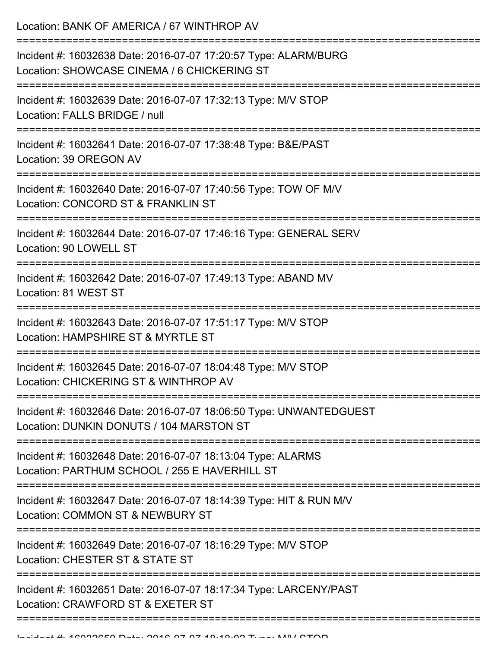Location: BANK OF AMERICA / 67 WINTHROP AV =========================================================================== Incident #: 16032638 Date: 2016-07-07 17:20:57 Type: ALARM/BURG Location: SHOWCASE CINEMA / 6 CHICKERING ST =========================================================================== Incident #: 16032639 Date: 2016-07-07 17:32:13 Type: M/V STOP Location: FALLS BRIDGE / null =========================================================================== Incident #: 16032641 Date: 2016-07-07 17:38:48 Type: B&E/PAST Location: 39 OREGON AV =========================================================================== Incident #: 16032640 Date: 2016-07-07 17:40:56 Type: TOW OF M/V Location: CONCORD ST & FRANKLIN ST =========================================================================== Incident #: 16032644 Date: 2016-07-07 17:46:16 Type: GENERAL SERV Location: 90 LOWELL ST =========================================================================== Incident #: 16032642 Date: 2016-07-07 17:49:13 Type: ABAND MV Location: 81 WEST ST =========================================================================== Incident #: 16032643 Date: 2016-07-07 17:51:17 Type: M/V STOP Location: HAMPSHIRE ST & MYRTLE ST =========================================================================== Incident #: 16032645 Date: 2016-07-07 18:04:48 Type: M/V STOP Location: CHICKERING ST & WINTHROP AV =========================================================================== Incident #: 16032646 Date: 2016-07-07 18:06:50 Type: UNWANTEDGUEST Location: DUNKIN DONUTS / 104 MARSTON ST =========================================================================== Incident #: 16032648 Date: 2016-07-07 18:13:04 Type: ALARMS Location: PARTHUM SCHOOL / 255 F HAVERHILL ST =========================================================================== Incident #: 16032647 Date: 2016-07-07 18:14:39 Type: HIT & RUN M/V Location: COMMON ST & NEWBURY ST =========================================================================== Incident #: 16032649 Date: 2016-07-07 18:16:29 Type: M/V STOP Location: CHESTER ST & STATE ST =========================================================================== Incident #: 16032651 Date: 2016-07-07 18:17:34 Type: LARCENY/PAST Location: CRAWFORD ST & EXETER ST

===========================================================================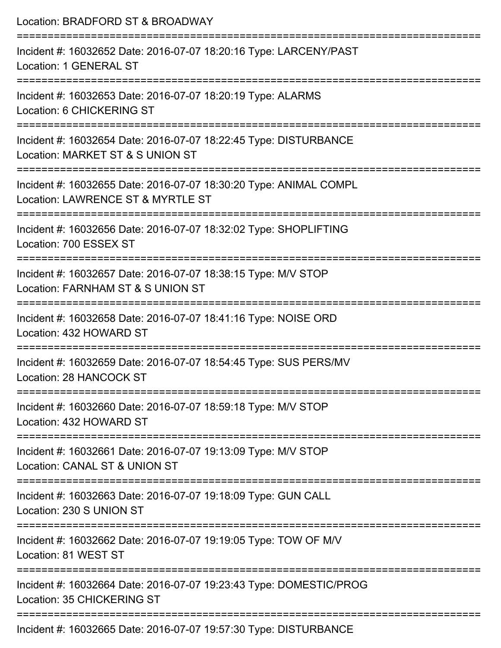| Location: BRADFORD ST & BROADWAY                                                                                                     |
|--------------------------------------------------------------------------------------------------------------------------------------|
| Incident #: 16032652 Date: 2016-07-07 18:20:16 Type: LARCENY/PAST<br>Location: 1 GENERAL ST                                          |
| Incident #: 16032653 Date: 2016-07-07 18:20:19 Type: ALARMS<br>Location: 6 CHICKERING ST                                             |
| Incident #: 16032654 Date: 2016-07-07 18:22:45 Type: DISTURBANCE<br>Location: MARKET ST & S UNION ST                                 |
| Incident #: 16032655 Date: 2016-07-07 18:30:20 Type: ANIMAL COMPL<br>Location: LAWRENCE ST & MYRTLE ST<br>========================== |
| Incident #: 16032656 Date: 2016-07-07 18:32:02 Type: SHOPLIFTING<br>Location: 700 ESSEX ST                                           |
| =================<br>Incident #: 16032657 Date: 2016-07-07 18:38:15 Type: M/V STOP<br>Location: FARNHAM ST & S UNION ST              |
| :=====================================<br>Incident #: 16032658 Date: 2016-07-07 18:41:16 Type: NOISE ORD<br>Location: 432 HOWARD ST  |
| Incident #: 16032659 Date: 2016-07-07 18:54:45 Type: SUS PERS/MV<br>Location: 28 HANCOCK ST                                          |
| Incident #: 16032660 Date: 2016-07-07 18:59:18 Type: M/V STOP<br>Location: 432 HOWARD ST                                             |
| Incident #: 16032661 Date: 2016-07-07 19:13:09 Type: M/V STOP<br>Location: CANAL ST & UNION ST                                       |
| Incident #: 16032663 Date: 2016-07-07 19:18:09 Type: GUN CALL<br>Location: 230 S UNION ST                                            |
| Incident #: 16032662 Date: 2016-07-07 19:19:05 Type: TOW OF M/V<br>Location: 81 WEST ST                                              |
| Incident #: 16032664 Date: 2016-07-07 19:23:43 Type: DOMESTIC/PROG<br>Location: 35 CHICKERING ST                                     |
| Incident #: 16022665 Deta: 2016 07.07.10:57:20 Type: DIRTUDDANCE                                                                     |

Incident #: 16032665 Date: 2016-07-07 19:57:30 Type: DISTURBANCE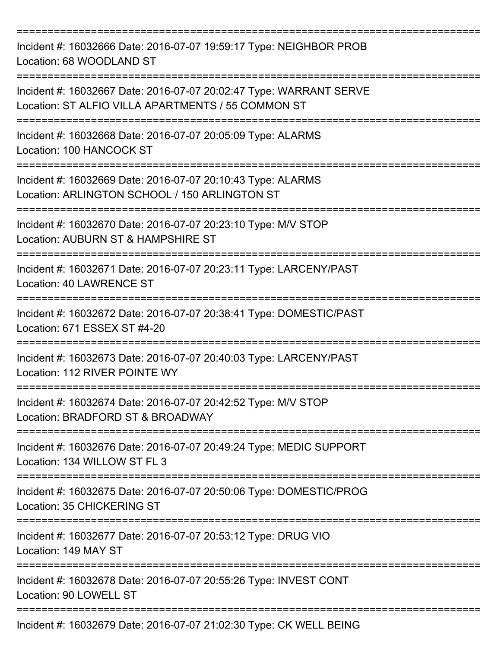| Incident #: 16032666 Date: 2016-07-07 19:59:17 Type: NEIGHBOR PROB<br>Location: 68 WOODLAND ST                                        |
|---------------------------------------------------------------------------------------------------------------------------------------|
| Incident #: 16032667 Date: 2016-07-07 20:02:47 Type: WARRANT SERVE<br>Location: ST ALFIO VILLA APARTMENTS / 55 COMMON ST              |
| Incident #: 16032668 Date: 2016-07-07 20:05:09 Type: ALARMS<br>Location: 100 HANCOCK ST                                               |
| Incident #: 16032669 Date: 2016-07-07 20:10:43 Type: ALARMS<br>Location: ARLINGTON SCHOOL / 150 ARLINGTON ST<br>--------------------- |
| Incident #: 16032670 Date: 2016-07-07 20:23:10 Type: M/V STOP<br>Location: AUBURN ST & HAMPSHIRE ST                                   |
| Incident #: 16032671 Date: 2016-07-07 20:23:11 Type: LARCENY/PAST<br>Location: 40 LAWRENCE ST                                         |
| Incident #: 16032672 Date: 2016-07-07 20:38:41 Type: DOMESTIC/PAST<br>Location: 671 ESSEX ST #4-20                                    |
| Incident #: 16032673 Date: 2016-07-07 20:40:03 Type: LARCENY/PAST<br>Location: 112 RIVER POINTE WY                                    |
| Incident #: 16032674 Date: 2016-07-07 20:42:52 Type: M/V STOP<br>Location: BRADFORD ST & BROADWAY                                     |
| Incident #: 16032676 Date: 2016-07-07 20:49:24 Type: MEDIC SUPPORT<br>Location: 134 WILLOW ST FL 3                                    |
| Incident #: 16032675 Date: 2016-07-07 20:50:06 Type: DOMESTIC/PROG<br>Location: 35 CHICKERING ST                                      |
| Incident #: 16032677 Date: 2016-07-07 20:53:12 Type: DRUG VIO<br>Location: 149 MAY ST                                                 |
| Incident #: 16032678 Date: 2016-07-07 20:55:26 Type: INVEST CONT<br>Location: 90 LOWELL ST                                            |
| Incident #: 16032679 Date: 2016-07-07 21:02:30 Type: CK WELL BEING                                                                    |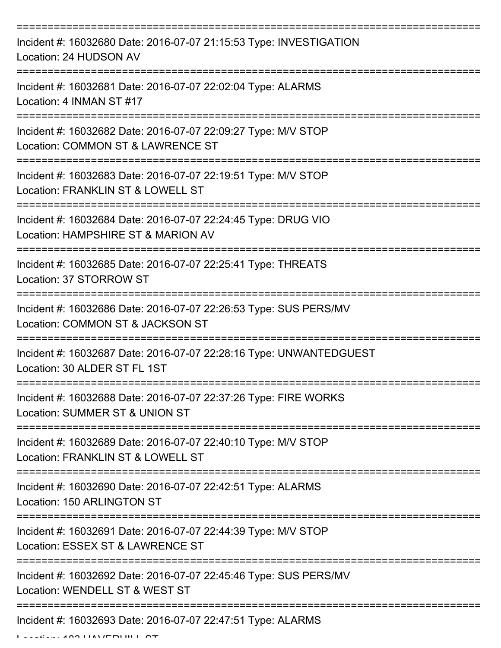| Incident #: 16032680 Date: 2016-07-07 21:15:53 Type: INVESTIGATION<br>Location: 24 HUDSON AV         |
|------------------------------------------------------------------------------------------------------|
| Incident #: 16032681 Date: 2016-07-07 22:02:04 Type: ALARMS<br>Location: 4 INMAN ST #17              |
| Incident #: 16032682 Date: 2016-07-07 22:09:27 Type: M/V STOP<br>Location: COMMON ST & LAWRENCE ST   |
| Incident #: 16032683 Date: 2016-07-07 22:19:51 Type: M/V STOP<br>Location: FRANKLIN ST & LOWELL ST   |
| Incident #: 16032684 Date: 2016-07-07 22:24:45 Type: DRUG VIO<br>Location: HAMPSHIRE ST & MARION AV  |
| Incident #: 16032685 Date: 2016-07-07 22:25:41 Type: THREATS<br>Location: 37 STORROW ST              |
| Incident #: 16032686 Date: 2016-07-07 22:26:53 Type: SUS PERS/MV<br>Location: COMMON ST & JACKSON ST |
| Incident #: 16032687 Date: 2016-07-07 22:28:16 Type: UNWANTEDGUEST<br>Location: 30 ALDER ST FL 1ST   |
| Incident #: 16032688 Date: 2016-07-07 22:37:26 Type: FIRE WORKS<br>Location: SUMMER ST & UNION ST    |
| Incident #: 16032689 Date: 2016-07-07 22:40:10 Type: M/V STOP<br>Location: FRANKLIN ST & LOWELL ST   |
| Incident #: 16032690 Date: 2016-07-07 22:42:51 Type: ALARMS<br>Location: 150 ARLINGTON ST            |
| Incident #: 16032691 Date: 2016-07-07 22:44:39 Type: M/V STOP<br>Location: ESSEX ST & LAWRENCE ST    |
| Incident #: 16032692 Date: 2016-07-07 22:45:46 Type: SUS PERS/MV<br>Location: WENDELL ST & WEST ST   |
| Incident #: 16032693 Date: 2016-07-07 22:47:51 Type: ALARMS                                          |